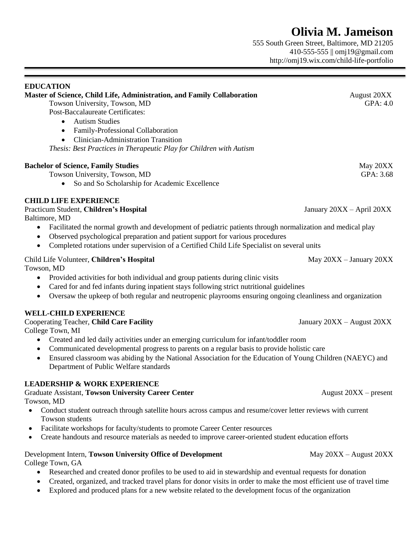# **Olivia M. Jameison**

555 South Green Street, Baltimore, MD 21205 410-555-555 || omj19@gmail.com http://omj19.wix.com/child-life-portfolio

| <b>EDUCATION</b>                                                                                                        |                            |
|-------------------------------------------------------------------------------------------------------------------------|----------------------------|
| Master of Science, Child Life, Administration, and Family Collaboration<br>Towson University, Towson, MD                | August 20XX<br>GPA: 4.0    |
| <b>Post-Baccalaureate Certificates:</b>                                                                                 |                            |
| <b>Autism Studies</b><br>$\bullet$                                                                                      |                            |
|                                                                                                                         |                            |
| Family-Professional Collaboration<br>$\bullet$                                                                          |                            |
| <b>Clinician-Administration Transition</b><br>$\bullet$                                                                 |                            |
| Thesis: Best Practices in Therapeutic Play for Children with Autism                                                     |                            |
| <b>Bachelor of Science, Family Studies</b>                                                                              | May 20XX                   |
| Towson University, Towson, MD                                                                                           | GPA: 3.68                  |
| So and So Scholarship for Academic Excellence<br>$\bullet$                                                              |                            |
| <b>CHILD LIFE EXPERIENCE</b>                                                                                            |                            |
| Practicum Student, Children's Hospital                                                                                  | January 20XX – April 20XX  |
| Baltimore, MD                                                                                                           |                            |
| Facilitated the normal growth and development of pediatric patients through normalization and medical play<br>$\bullet$ |                            |
| Observed psychological preparation and patient support for various procedures                                           |                            |
| Completed rotations under supervision of a Certified Child Life Specialist on several units<br>$\bullet$                |                            |
| Child Life Volunteer, Children's Hospital                                                                               | May 20XX - January 20XX    |
| Towson, MD                                                                                                              |                            |
| Provided activities for both individual and group patients during clinic visits<br>$\bullet$                            |                            |
| Cared for and fed infants during inpatient stays following strict nutritional guidelines<br>$\bullet$                   |                            |
| Oversaw the upkeep of both regular and neutropenic playrooms ensuring ongoing cleanliness and organization<br>$\bullet$ |                            |
| <b>WELL-CHILD EXPERIENCE</b>                                                                                            |                            |
| Cooperating Teacher, Child Care Facility                                                                                | January 20XX - August 20XX |
| College Town, MI                                                                                                        |                            |
| Created and led daily activities under an emerging curriculum for infant/toddler room<br>$\bullet$                      |                            |
| Communicated developmental progress to parents on a regular basis to provide holistic care<br>$\bullet$                 |                            |
| Ensured classroom was abiding by the National Association for the Education of Young Children (NAEYC) and<br>$\bullet$  |                            |
| Department of Public Welfare standards                                                                                  |                            |
| <b>LEADERSHIP &amp; WORK EXPERIENCE</b>                                                                                 |                            |
| Graduate Assistant, Towson University Career Center                                                                     | August 20XX - present      |
| Towson, MD                                                                                                              |                            |
|                                                                                                                         |                            |

- Conduct student outreach through satellite hours across campus and resume/cover letter reviews with current Towson students
- Facilitate workshops for faculty/students to promote Career Center resources
- Create handouts and resource materials as needed to improve career-oriented student education efforts
- Development Intern, **Towson University Office of Development** May 20XX August 20XX College Town, GA
	- Researched and created donor profiles to be used to aid in stewardship and eventual requests for donation
	- Created, organized, and tracked travel plans for donor visits in order to make the most efficient use of travel time
	- Explored and produced plans for a new website related to the development focus of the organization